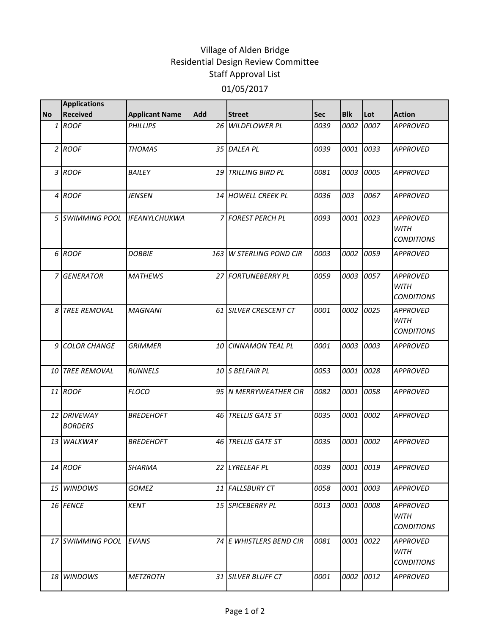## Village of Alden Bridge Residential Design Review Committee Staff Approval List 01/05/2017

|           | <b>Applications</b>           |                       |      |                            |      |            |           |                                                     |
|-----------|-------------------------------|-----------------------|------|----------------------------|------|------------|-----------|-----------------------------------------------------|
| <b>No</b> | <b>Received</b>               | <b>Applicant Name</b> | Add  | <b>Street</b>              | Sec  | <b>Blk</b> | Lot       | <b>Action</b>                                       |
|           | $1$ ROOF                      | <b>PHILLIPS</b>       |      | 26 WILDFLOWER PL           | 0039 | 0002       | 0007      | <b>APPROVED</b>                                     |
|           | $2$ ROOF                      | <b>THOMAS</b>         |      | 35 DALEA PL                | 0039 | 0001       | 0033      | <b>APPROVED</b>                                     |
|           | 3 ROOF                        | <b>BAILEY</b>         |      | <b>19 TRILLING BIRD PL</b> | 0081 | 0003       | 0005      | <b>APPROVED</b>                                     |
|           | 4 ROOF                        | <b>JENSEN</b>         |      | 14 HOWELL CREEK PL         | 0036 | 003        | 0067      | <b>APPROVED</b>                                     |
|           | 5 SWIMMING POOL               | <b>IFEANYLCHUKWA</b>  |      | 7 FOREST PERCH PL          | 0093 | 0001       | 0023      | <b>APPROVED</b><br><b>WITH</b><br><b>CONDITIONS</b> |
|           | 6 ROOF                        | <b>DOBBIE</b>         | 163  | <b>W STERLING POND CIR</b> | 0003 | 0002       | 0059      | <b>APPROVED</b>                                     |
|           | 7 GENERATOR                   | <b>MATHEWS</b>        |      | 27 FORTUNEBERRY PL         | 0059 | 0003       | 0057      | <b>APPROVED</b><br><b>WITH</b><br><b>CONDITIONS</b> |
|           | 8 TREE REMOVAL                | <b>MAGNANI</b>        |      | 61 SILVER CRESCENT CT      | 0001 | 0002       | 0025      | <b>APPROVED</b><br><b>WITH</b><br><b>CONDITIONS</b> |
|           | 9 COLOR CHANGE                | <b>GRIMMER</b>        | 10 I | <b>CINNAMON TEAL PL</b>    | 0001 | 0003       | 0003      | <b>APPROVED</b>                                     |
|           | 10 TREE REMOVAL               | <b>RUNNELS</b>        |      | 10 S BELFAIR PL            | 0053 | 0001       | 0028      | <b>APPROVED</b>                                     |
|           | 11 ROOF                       | <b>FLOCO</b>          |      | 95   N MERRYWEATHER CIR    | 0082 | 0001       | 0058      | <b>APPROVED</b>                                     |
|           | 12 DRIVEWAY<br><b>BORDERS</b> | <b>BREDEHOFT</b>      |      | 46 TRELLIS GATE ST         | 0035 | 0001       | 0002      | <b>APPROVED</b>                                     |
|           | 13 WALKWAY                    | <b>BREDEHOFT</b>      |      | 46 TRELLIS GATE ST         | 0035 | 0001       | 0002      | <b>APPROVED</b>                                     |
|           | 14 ROOF                       | SHARMA                |      | 22 LYRELEAF PL             | 0039 |            | 0001 0019 | <b>APPROVED</b>                                     |
|           | 15 WINDOWS                    | <b>GOMEZ</b>          |      | 11 FALLSBURY CT            | 0058 | 0001       | 0003      | <b>APPROVED</b>                                     |
|           | 16 FENCE                      | <b>KENT</b>           |      | 15 SPICEBERRY PL           | 0013 | 0001       | 0008      | <b>APPROVED</b><br><b>WITH</b><br><b>CONDITIONS</b> |
|           | 17 SWIMMING POOL              | EVANS                 |      | 74 E WHISTLERS BEND CIR    | 0081 | 0001       | 0022      | <b>APPROVED</b><br><b>WITH</b><br><b>CONDITIONS</b> |
|           | 18 WINDOWS                    | <b>METZROTH</b>       |      | 31 SILVER BLUFF CT         | 0001 | 0002       | 0012      | APPROVED                                            |